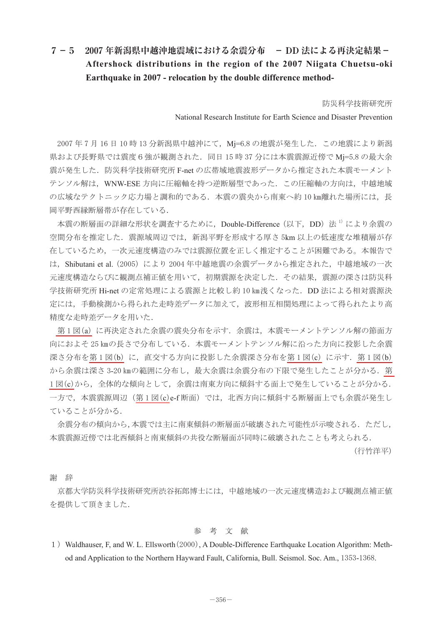## **7-5 2007 年新潟県中越沖地震域における余震分布 - DD 法による再決定結果- Aftershock distributions in the region of the 2007 Niigata Chuetsu-oki Earthquake in 2007 - relocation by the double difference method-**

防災科学技術研究所

National Research Institute for Earth Science and Disaster Prevention

2007年7月16日10時13分新潟県中越沖にて, Mj=6.8 の地震が発生した. この地震により新潟 県および長野県では震度6強が観測された. 同日 15 時 37 分には本震震源近傍で Mj=5.8 の最大余 震が発生した. 防災科学技術研究所 F-net の広帯域地震波形データから推定された本震モーメント テンソル解は、WNW-ESE 方向に圧縮軸を持つ逆断層型であった. この圧縮軸の方向は、中越地域 の広域なテクトニック応力場と調和的である. 本震の震央から南東へ約10km離れた場所には、長 岡平野西縁断層帯が存在している.

本震の断層面の詳細な形状を調査するために、Double-Difference (以下、DD) 法 <sup>1)</sup>により余震の 空間分布を推定した.震源域周辺では,新潟平野を形成する厚さ 5km 以上の低速度な堆積層が存 在しているため,一次元速度構造のみでは震源位置を正しく推定することが困難である。本報告で は、Shibutani et al. (2005) により 2004 年中越地震の余震データから推定された、中越地域の一次 元速度構造ならびに観測点補正値を用いて,初期震源を決定した.その結果,震源の深さは防災科 学技術研究所 Hi-net の定常処理による震源と比較し約 10 ㎞浅くなった.DD 法による相対震源決 定には,手動検測から得られた走時差データに加えて,波形相互相関処理によって得られたより高 精度な走時差データを用いた.

第1[図\(](#page-1-0)a)に再決定された余震の震央分布を示す.余震は、本震モーメントテンソル解の節面方 向におよそ 25 kmの長さで分布している. 本震モーメントテンソル解に沿った方向に投影した余震 深さ分布を第1[図\(](#page-1-0)b)に、直交する方向に投影した余震深さ分布を第1図(c)に示す. 第1図(b) から余震は深さ 3-20 ㎞の範囲に分布し、最大余震は余震分布の下限で発生したことが分かる. 第 1[図\(](#page-1-0)c)から、全体的な傾向として、余震は南東方向に傾斜する面上で発生していることが分かる. 一方で、本震震源周辺(第1[図\(](#page-1-0)c)e-f断面)では、北西方向に傾斜する断層面上でも余震が発生し ていることが分かる.

余震分布の傾向から,本震では主に南東傾斜の断層面が破壊された可能性が示唆される.ただし, 本震震源近傍では北西傾斜と南東傾斜の共役な断層面が同時に破壊されたことも考えられる.

(行竹洋平)

## 謝 辞

京都大学防災科学技術研究所渋谷拓郎博士には,中越地域の一次元速度構造および観測点補正値 を提供して頂きました.

## 参 考 文 献

1) Waldhauser, F, and W. L. Ellsworth (2000), A Double-Difference Earthquake Location Algorithm: Method and Application to the Northern Hayward Fault, California, Bull. Seismol. Soc. Am., 1353-1368.